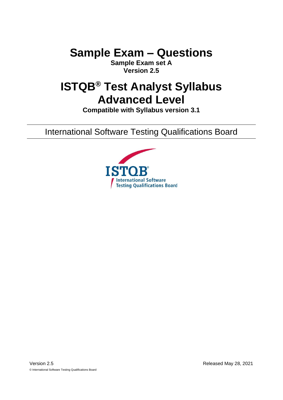# **Sample Exam – Questions**

**Sample Exam set A Version 2.5**

# **ISTQB® Test Analyst Syllabus Advanced Level**

**Compatible with Syllabus version 3.1**

International Software Testing Qualifications Board

<span id="page-0-0"></span>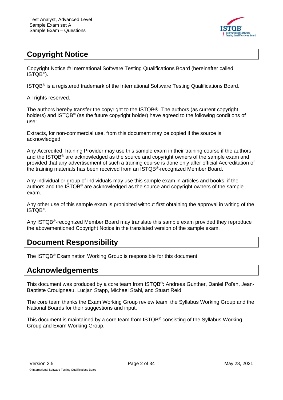

# <span id="page-1-0"></span>**Copyright Notice**

Copyright Notice © International Software Testing Qualifications Board (hereinafter called ISTQB® ).

ISTQB® is a registered trademark of the International Software Testing Qualifications Board.

All rights reserved.

The authors hereby transfer the copyright to the ISTQB®. The authors (as current copyright holders) and ISTQB® (as the future copyright holder) have agreed to the following conditions of use:

Extracts, for non-commercial use, from this document may be copied if the source is acknowledged.

Any Accredited Training Provider may use this sample exam in their training course if the authors and the ISTQB® are acknowledged as the source and copyright owners of the sample exam and provided that any advertisement of such a training course is done only after official Accreditation of the training materials has been received from an ISTQB®-recognized Member Board.

Any individual or group of individuals may use this sample exam in articles and books, if the authors and the ISTQB® are acknowledged as the source and copyright owners of the sample exam.

Any other use of this sample exam is prohibited without first obtaining the approval in writing of the ISTQB® .

Any ISTQB<sup>®</sup>-recognized Member Board may translate this sample exam provided they reproduce the abovementioned Copyright Notice in the translated version of the sample exam.

# <span id="page-1-1"></span>**Document Responsibility**

The ISTQB® Examination Working Group is responsible for this document.

# <span id="page-1-2"></span>**Acknowledgements**

This document was produced by a core team from ISTQB®: Andreas Gunther, Daniel Poľan, Jean-Baptiste Crouigneau, Lucjan Stapp, Michael Stahl, and Stuart Reid

The core team thanks the Exam Working Group review team, the Syllabus Working Group and the National Boards for their suggestions and input.

This document is maintained by a core team from ISTQB® consisting of the Syllabus Working Group and Exam Working Group.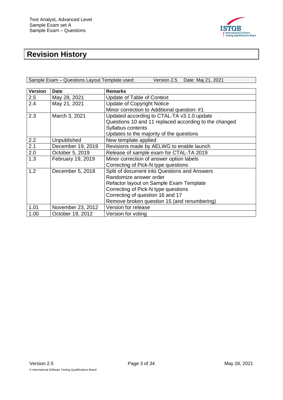

# <span id="page-2-0"></span>**Revision History**

| Sample Exam - Questions Layout Template used: | Version 2.5 Date: Maj 21, 2021 |
|-----------------------------------------------|--------------------------------|
|                                               |                                |

| <b>Version</b> | <b>Date</b>       | <b>Remarks</b>                                        |
|----------------|-------------------|-------------------------------------------------------|
| 2.5            | May 28, 2021      | <b>Update of Table of Context</b>                     |
| 2.4            | May 21, 2021      | <b>Update of Copyright Notice</b>                     |
|                |                   | Minor correction to Additional question: #1           |
| 2.3            | March 3, 2021     | Updated according to CTAL-TA v3.1.0 update            |
|                |                   | Questions 10 and 11 replaced according to the changed |
|                |                   | Syllabus contents                                     |
|                |                   | Updates to the majority of the questions              |
| 2.2            | Unpublished       | New template applied                                  |
| 2.1            | December 19, 2019 | Revisions made by AELWG to enable launch              |
| 2.0            | October 5, 2019   | Release of sample exam for CTAL-TA 2019               |
| 1.3            | February 19, 2019 | Minor correction of answer option labels              |
|                |                   | Correcting of Pick-N type questions                   |
| 1.2            | December 5, 2018  | Split of document into Questions and Answers          |
|                |                   | Randomize answer order                                |
|                |                   | Refactor layout on Sample Exam Template               |
|                |                   | Correcting of Pick-N type questions                   |
|                |                   | Correcting of question 16 and 17                      |
|                |                   | Remove broken question 15 (and renumbering)           |
| 1.01           | November 23, 2012 | Version for release                                   |
| 1.00           | October 19, 2012  | Version for voting                                    |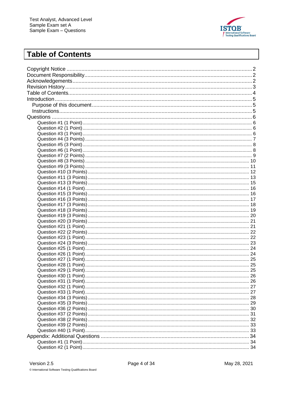

# <span id="page-3-0"></span>**Table of Contents**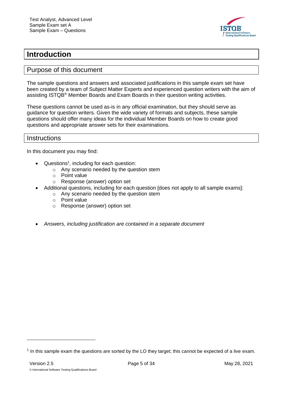

# <span id="page-4-0"></span>**Introduction**

#### <span id="page-4-1"></span>Purpose of this document

The sample questions and answers and associated justifications in this sample exam set have been created by a team of Subject Matter Experts and experienced question writers with the aim of assisting ISTQB® Member Boards and Exam Boards in their question writing activities.

These questions cannot be used as-is in any official examination, but they should serve as guidance for question writers. Given the wide variety of formats and subjects, these sample questions should offer many ideas for the individual Member Boards on how to create good questions and appropriate answer sets for their examinations.

#### <span id="page-4-2"></span>**Instructions**

In this document you may find:

- Questions<sup>1</sup>, including for each question:
	- o Any scenario needed by the question stem
	- o Point value
	- o Response (answer) option set
- Additional questions, including for each question [does not apply to all sample exams]:
	- o Any scenario needed by the question stem
	- o Point value
	- o Response (answer) option set
- *Answers, including justification are contained in a separate document*

 $<sup>1</sup>$  In this sample exam the questions are sorted by the LO they target; this cannot be expected of a live exam.</sup>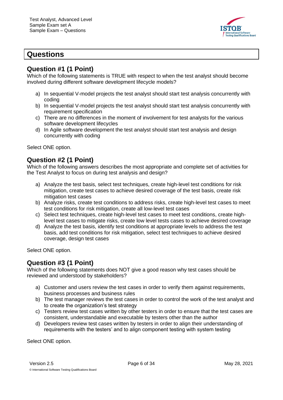

# <span id="page-5-0"></span>**Questions**

### <span id="page-5-1"></span>**Question #1 (1 Point)**

Which of the following statements is TRUE with respect to when the test analyst should become involved during different software development lifecycle models?

- a) In sequential V-model projects the test analyst should start test analysis concurrently with coding
- b) In sequential V-model projects the test analyst should start test analysis concurrently with requirement specification
- c) There are no differences in the moment of involvement for test analysts for the various software development lifecycles
- d) In Agile software development the test analyst should start test analysis and design concurrently with coding

Select ONE option.

### <span id="page-5-2"></span>**Question #2 (1 Point)**

Which of the following answers describes the most appropriate and complete set of activities for the Test Analyst to focus on during test analysis and design?

- a) Analyze the test basis, select test techniques, create high-level test conditions for risk mitigation, create test cases to achieve desired coverage of the test basis, create risk mitigation test cases
- b) Analyze risks, create test conditions to address risks, create high-level test cases to meet test conditions for risk mitigation, create all low-level test cases
- c) Select test techniques, create high-level test cases to meet test conditions, create highlevel test cases to mitigate risks, create low level tests cases to achieve desired coverage
- d) Analyze the test basis, identify test conditions at appropriate levels to address the test basis, add test conditions for risk mitigation, select test techniques to achieve desired coverage, design test cases

Select ONE option.

### <span id="page-5-3"></span>**Question #3 (1 Point)**

Which of the following statements does NOT give a good reason why test cases should be reviewed and understood by stakeholders?

- a) Customer and users review the test cases in order to verify them against requirements, business processes and business rules
- b) The test manager reviews the test cases in order to control the work of the test analyst and to create the organization's test strategy
- c) Testers review test cases written by other testers in order to ensure that the test cases are consistent, understandable and executable by testers other than the author
- d) Developers review test cases written by testers in order to align their understanding of requirements with the testers' and to align component testing with system testing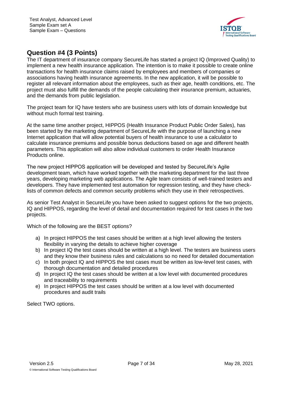

# <span id="page-6-0"></span>**Question #4 (3 Points)**

The IT department of insurance company SecureLife has started a project IQ (Improved Quality) to implement a new health insurance application. The intention is to make it possible to create online transactions for health insurance claims raised by employees and members of companies or associations having health insurance agreements. In the new application, it will be possible to register all relevant information about the employees, such as their age, health conditions, etc. The project must also fulfill the demands of the people calculating their insurance premium, actuaries, and the demands from public legislation.

The project team for IQ have testers who are business users with lots of domain knowledge but without much formal test training.

At the same time another project, HIPPOS (Health Insurance Product Public Order Sales), has been started by the marketing department of SecureLife with the purpose of launching a new Internet application that will allow potential buyers of health insurance to use a calculator to calculate insurance premiums and possible bonus deductions based on age and different health parameters. This application will also allow individual customers to order Health Insurance Products online.

The new project HIPPOS application will be developed and tested by SecureLife's Agile development team, which have worked together with the marketing department for the last three years, developing marketing web applications. The Agile team consists of well-trained testers and developers. They have implemented test automation for regression testing, and they have checklists of common defects and common security problems which they use in their retrospectives.

As senior Test Analyst in SecureLife you have been asked to suggest options for the two projects, IQ and HIPPOS, regarding the level of detail and documentation required for test cases in the two projects.

Which of the following are the BEST options?

- a) In project HIPPOS the test cases should be written at a high level allowing the testers flexibility in varying the details to achieve higher coverage
- b) In project IQ the test cases should be written at a high level. The testers are business users and they know their business rules and calculations so no need for detailed documentation
- c) In both project IQ and HIPPOS the test cases must be written as low-level test cases, with thorough documentation and detailed procedures
- d) In project IQ the test cases should be written at a low level with documented procedures and traceability to requirements
- e) In project HIPPOS the test cases should be written at a low level with documented procedures and audit trails

Select TWO options.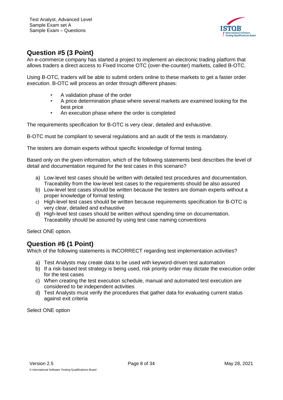

# <span id="page-7-0"></span>**Question #5 (3 Point)**

An e-commerce company has started a project to implement an electronic trading platform that allows traders a direct access to Fixed Income OTC (over-the-counter) markets, called B-OTC.

Using B-OTC, traders will be able to submit orders online to these markets to get a faster order execution. B-OTC will process an order through different phases:

- A validation phase of the order
- A price determination phase where several markets are examined looking for the best price
- An execution phase where the order is completed

The requirements specification for B-OTC is very clear, detailed and exhaustive.

B-OTC must be compliant to several regulations and an audit of the tests is mandatory.

The testers are domain experts without specific knowledge of formal testing.

Based only on the given information, which of the following statements best describes the level of detail and documentation required for the test cases in this scenario?

- a) Low-level test cases should be written with detailed test procedures and documentation. Traceability from the low-level test cases to the requirements should be also assured
- b) Low-level test cases should be written because the testers are domain experts without a proper knowledge of formal testing
- c) High-level test cases should be written because requirements specification for B-OTC is very clear, detailed and exhaustive
- d) High-level test cases should be written without spending time on documentation. Traceability should be assured by using test case naming conventions

Select ONE option.

### <span id="page-7-1"></span>**Question #6 (1 Point)**

Which of the following statements is INCORRECT regarding test implementation activities?

- a) Test Analysts may create data to be used with keyword-driven test automation
- b) If a risk-based test strategy is being used, risk priority order may dictate the execution order for the test cases
- c) When creating the test execution schedule, manual and automated test execution are considered to be independent activities
- d) Test Analysts must verify the procedures that gather data for evaluating current status against exit criteria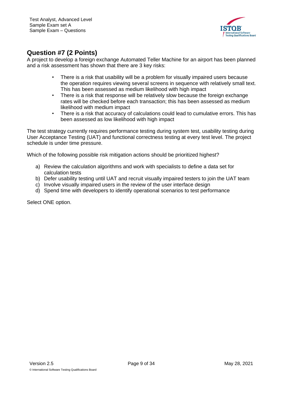

# <span id="page-8-0"></span>**Question #7 (2 Points)**

A project to develop a foreign exchange Automated Teller Machine for an airport has been planned and a risk assessment has shown that there are 3 key risks:

- There is a risk that usability will be a problem for visually impaired users because the operation requires viewing several screens in sequence with relatively small text. This has been assessed as medium likelihood with high impact
- There is a risk that response will be relatively slow because the foreign exchange rates will be checked before each transaction; this has been assessed as medium likelihood with medium impact
- There is a risk that accuracy of calculations could lead to cumulative errors. This has been assessed as low likelihood with high impact

The test strategy currently requires performance testing during system test, usability testing during User Acceptance Testing (UAT) and functional correctness testing at every test level. The project schedule is under time pressure.

Which of the following possible risk mitigation actions should be prioritized highest?

- a) Review the calculation algorithms and work with specialists to define a data set for calculation tests
- b) Defer usability testing until UAT and recruit visually impaired testers to join the UAT team
- c) Involve visually impaired users in the review of the user interface design
- d) Spend time with developers to identify operational scenarios to test performance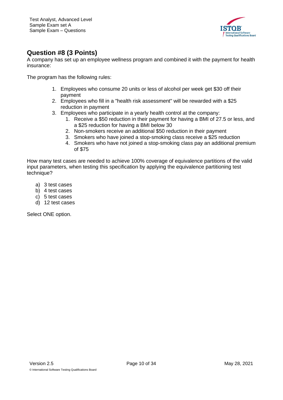

# <span id="page-9-0"></span>**Question #8 (3 Points)**

A company has set up an employee wellness program and combined it with the payment for health insurance:

The program has the following rules:

- 1. Employees who consume 20 units or less of alcohol per week get \$30 off their payment
- 2. Employees who fill in a "health risk assessment" will be rewarded with a \$25 reduction in payment
- 3. Employees who participate in a yearly health control at the company:
	- 1. Receive a \$50 reduction in their payment for having a BMI of 27.5 or less, and a \$25 reduction for having a BMI below 30
	- 2. Non-smokers receive an additional \$50 reduction in their payment
	- 3. Smokers who have joined a stop-smoking class receive a \$25 reduction
	- 4. Smokers who have not joined a stop-smoking class pay an additional premium of \$75

How many test cases are needed to achieve 100% coverage of equivalence partitions of the valid input parameters, when testing this specification by applying the equivalence partitioning test technique?

- a) 3 test cases
- b) 4 test cases
- c) 5 test cases
- d) 12 test cases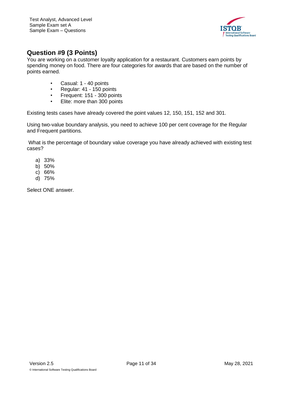

# <span id="page-10-0"></span>**Question #9 (3 Points)**

You are working on a customer loyalty application for a restaurant. Customers earn points by spending money on food. There are four categories for awards that are based on the number of points earned.

- Casual: 1 40 points
- Regular: 41 150 points
- Frequent: 151 300 points
- Elite: more than 300 points

Existing tests cases have already covered the point values 12, 150, 151, 152 and 301.

Using two-value boundary analysis, you need to achieve 100 per cent coverage for the Regular and Frequent partitions.

What is the percentage of boundary value coverage you have already achieved with existing test cases?

- a) 33%
- b) 50%
- c) 66%
- d) 75%

Select ONE answer.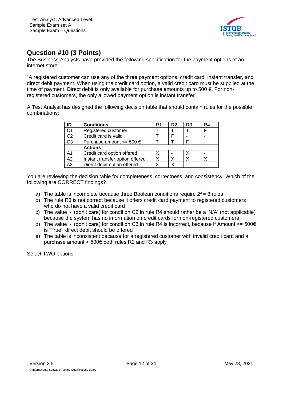

## <span id="page-11-0"></span>**Question #10 (3 Points)**

The Business Analysts have provided the following specification for the payment options of an internet store:

"A registered customer can use any of the three payment options: credit card, instant transfer, and direct debit payment. When using the credit card option, a valid credit card must be supplied at the time of payment. Direct debit is only available for purchase amounts up to 500  $\epsilon$ . For nonregistered customers, the only allowed payment option is instant transfer".

A Test Analyst has designed the following decision table that should contain rules for the possible combinations:

| ID             | <b>Conditions</b>                | R1 | R <sub>2</sub> | R <sub>3</sub> | R4 |
|----------------|----------------------------------|----|----------------|----------------|----|
| C <sub>1</sub> | Registered customer              |    |                |                |    |
| C <sub>2</sub> | Credit card is valid             |    |                |                |    |
| C <sub>3</sub> | Purchase amount $\leq$ 500 $\in$ |    |                |                |    |
|                | <b>Actions</b>                   |    |                |                |    |
| A <sub>1</sub> | Credit card option offered       |    |                |                |    |
| A2             | Instant transfer option offered  |    | x              |                |    |
| A3             | Direct debit option offered      |    |                |                |    |

You are reviewing the decision table for completeness, correctness, and consistency. Which of the following are CORRECT findings?

- a) The table is incomplete because three Boolean conditions require  $2^3 = 8$  rules
- b) The rule R3 is not correct because it offers credit card payment to registered customers who do not have a valid credit card
- c) The value '-' (don't care) for condition C2 in rule R4 should rather be a 'N/A' (not applicable) because the system has no information on credit cards for non-registered customers
- d) The value '-' (don't care) for condition C3 in rule R4 is incorrect, because if Amount  $\leq 500 \epsilon$ is 'True', direct debit should be offered
- e) The table is inconsistent because for a registered customer with invalid credit card and a purchase amount > 500€ both rules R2 and R3 apply

Select TWO options.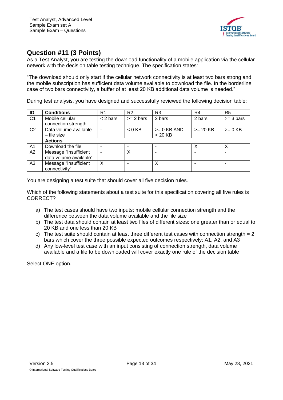

## <span id="page-12-0"></span>**Question #11 (3 Points)**

As a Test Analyst, you are testing the download functionality of a mobile application via the cellular network with the decision table testing technique. The specification states:

"The download should only start if the cellular network connectivity is at least two bars strong and the mobile subscription has sufficient data volume available to download the file. In the borderline case of two bars connectivity, a buffer of at least 20 KB additional data volume is needed."

During test analysis, you have designed and successfully reviewed the following decision table:

| ID             | <b>Conditions</b>                               | R1         | R <sub>2</sub>      | R <sub>3</sub>             | R <sub>4</sub> | R <sub>5</sub> |
|----------------|-------------------------------------------------|------------|---------------------|----------------------------|----------------|----------------|
| C <sub>1</sub> | Mobile cellular<br>connection strength          | $<$ 2 bars | $>= 2 \text{ bars}$ | 2 bars                     | 2 bars         | $>=$ 3 bars    |
| C <sub>2</sub> | Data volume available<br>- file size            |            | $< 0$ KB            | $>= 0$ KB AND<br>$< 20$ KB | $>= 20$ KB     | $>= 0$ KB      |
|                | <b>Actions</b>                                  |            |                     |                            |                |                |
| A <sub>1</sub> | Download the file                               |            |                     |                            |                |                |
| A2             | Message "Insufficient<br>data volume available" |            | X                   |                            |                |                |
| A <sub>3</sub> | Message "Insufficient<br>connectivity"          | X          |                     | X                          |                |                |

You are designing a test suite that should cover all five decision rules.

Which of the following statements about a test suite for this specification covering all five rules is CORRECT?

- a) The test cases should have two inputs: mobile cellular connection strength and the difference between the data volume available and the file size
- b) The test data should contain at least two files of different sizes: one greater than or equal to 20 KB and one less than 20 KB
- c) The test suite should contain at least three different test cases with connection strength = 2 bars which cover the three possible expected outcomes respectively: A1, A2, and A3
- d) Any low-level test case with an input consisting of connection strength, data volume available and a file to be downloaded will cover exactly one rule of the decision table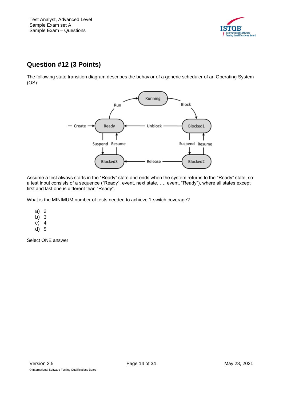

# **Question #12 (3 Points)**

The following state transition diagram describes the behavior of a generic scheduler of an Operating System (OS):



Assume a test always starts in the "Ready" state and ends when the system returns to the "Ready" state, so a test input consists of a sequence ("Ready", event, next state, …, event, "Ready"), where all states except first and last one is different than "Ready".

What is the MINIMUM number of tests needed to achieve 1-switch coverage?

- a) 2
- b) 3
- c) 4
- d) 5

Select ONE answer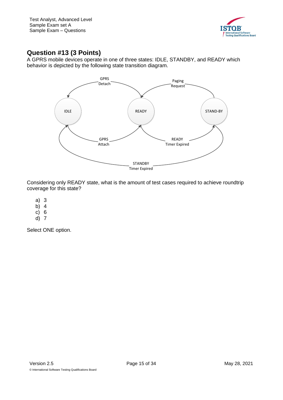

# <span id="page-14-0"></span>**Question #13 (3 Points)**

A GPRS mobile devices operate in one of three states: IDLE, STANDBY, and READY which behavior is depicted by the following state transition diagram.



Considering only READY state, what is the amount of test cases required to achieve roundtrip coverage for this state?

- a) 3
- b) 4
- c) 6
- d) 7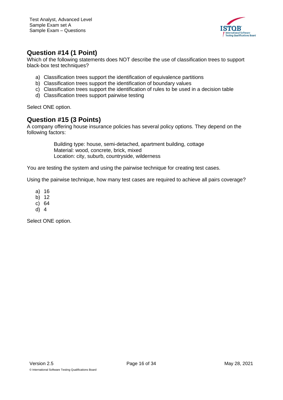

### <span id="page-15-0"></span>**Question #14 (1 Point)**

Which of the following statements does NOT describe the use of classification trees to support black-box test techniques?

- a) Classification trees support the identification of equivalence partitions
- b) Classification trees support the identification of boundary values
- c) Classification trees support the identification of rules to be used in a decision table
- d) Classification trees support pairwise testing

Select ONE option.

### <span id="page-15-1"></span>**Question #15 (3 Points)**

A company offering house insurance policies has several policy options. They depend on the following factors:

> Building type: house, semi-detached, apartment building, cottage Material: wood, concrete, brick, mixed Location: city, suburb, countryside, wilderness

You are testing the system and using the pairwise technique for creating test cases.

Using the pairwise technique, how many test cases are required to achieve all pairs coverage?

- a) 16
- b) 12
- c) 64
- d) 4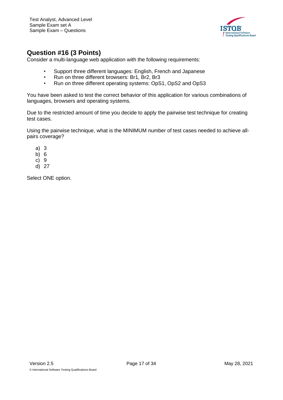

### <span id="page-16-0"></span>**Question #16 (3 Points)**

Consider a multi-language web application with the following requirements:

- Support three different languages: English, French and Japanese
- Run on three different browsers: Br1, Br2, Br3
- Run on three different operating systems: OpS1, OpS2 and OpS3

You have been asked to test the correct behavior of this application for various combinations of languages, browsers and operating systems.

Due to the restricted amount of time you decide to apply the pairwise test technique for creating test cases.

Using the pairwise technique, what is the MINIMUM number of test cases needed to achieve allpairs coverage?

- a) 3
- b) 6
- c) 9
- d) 27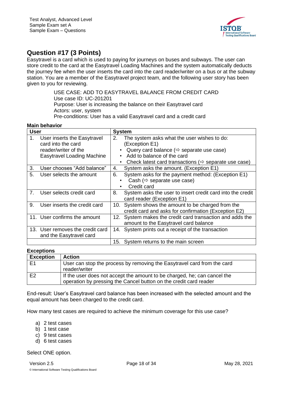

# <span id="page-17-0"></span>**Question #17 (3 Points)**

Easytravel is a card which is used to paying for journeys on buses and subways. The user can store credit to the card at the Easytravel Loading Machines and the system automatically deducts the journey fee when the user inserts the card into the card reader/writer on a bus or at the subway station. You are a member of the Easytravel project team, and the following user story has been given to you for reviewing.

> USE CASE: ADD TO EASYTRAVEL BALANCE FROM CREDIT CARD Use case ID: UC-201201 Purpose: User is increasing the balance on their Easytravel card Actors: user, system Pre-conditions: User has a valid Easytravel card and a credit card

#### **Main behavior**

|             | ויטואווי אינומ                                              |                                                                                                               |
|-------------|-------------------------------------------------------------|---------------------------------------------------------------------------------------------------------------|
| <b>User</b> |                                                             | <b>System</b>                                                                                                 |
| 1.          | User inserts the Easytravel<br>card into the card           | The system asks what the user wishes to do:<br>2.<br>(Exception E1)                                           |
|             | reader/writer of the                                        | Query card balance ( $\Leftrightarrow$ separate use case)                                                     |
|             | <b>Easytravel Loading Machine</b>                           | Add to balance of the card<br>٠                                                                               |
|             |                                                             | Check latest card transactions ( $\Leftrightarrow$ separate use case)<br>٠                                    |
| 3.          | User chooses "Add balance"                                  | System asks the amount. (Exception E1)<br>4.                                                                  |
| 5.          | User selects the amount                                     | System asks for the payment method: (Exception E1)<br>6.<br>Cash ( $\Leftrightarrow$ separate use case)       |
|             |                                                             | Credit card<br>٠                                                                                              |
| 7.          | User selects credit card                                    | 8.<br>System asks the user to insert credit card into the credit<br>card reader (Exception E1)                |
| 9.          | User inserts the credit card                                | System shows the amount to be charged from the<br>10.<br>credit card and asks for confirmation (Exception E2) |
|             | 11. User confirms the amount                                | System makes the credit card transaction and adds the<br>12.<br>amount to the Easytravel card balance         |
|             | 13. User removes the credit card<br>and the Easytravel card | System prints out a receipt of the transaction<br>14.                                                         |
|             |                                                             | 15.<br>System returns to the main screen                                                                      |

#### **Exceptions**

| <b>Exception</b> | <b>Action</b>                                                                                                                                 |
|------------------|-----------------------------------------------------------------------------------------------------------------------------------------------|
| E1               | User can stop the process by removing the Easytravel card from the card<br>reader/writer                                                      |
| E <sub>2</sub>   | If the user does not accept the amount to be charged, he; can cancel the<br>operation by pressing the Cancel button on the credit card reader |

End-result: User's Easytravel card balance has been increased with the selected amount and the equal amount has been charged to the credit card.

How many test cases are required to achieve the minimum coverage for this use case?

- a) 2 test cases
- b) 1 test case
- c) 9 test cases
- d) 6 test cases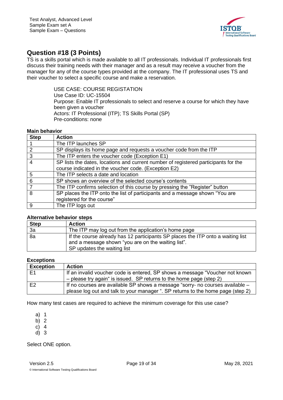

### <span id="page-18-0"></span>**Question #18 (3 Points)**

TS is a skills portal which is made available to all IT professionals. Individual IT professionals first discuss their training needs with their manager and as a result may receive a voucher from the manager for any of the course types provided at the company. The IT professional uses TS and their voucher to select a specific course and make a reservation.

> USE CASE: COURSE REGISTATION Use Case ID: UC-15504 Purpose: Enable IT professionals to select and reserve a course for which they have been given a voucher Actors: IT Professional (ITP); TS Skills Portal (SP) Pre-conditions: none

#### **Main behavior**

| <b>Step</b>   | <b>Action</b>                                                                       |
|---------------|-------------------------------------------------------------------------------------|
|               | The ITP launches SP                                                                 |
| $\mathcal{P}$ | SP displays its home page and requests a voucher code from the ITP                  |
| 3             | The ITP enters the voucher code (Exception E1)                                      |
|               | SP lists the dates, locations and current number of registered participants for the |
|               | course indicated in the voucher code. (Exception E2)                                |
| 5             | The ITP selects a date and location                                                 |
| 6             | SP shows an overview of the selected course's contents                              |
|               | The ITP confirms selection of this course by pressing the "Register" button         |
| 8             | SP places the ITP onto the list of participants and a message shown "You are        |
|               | registered for the course"                                                          |
| 9             | The ITP logs out                                                                    |

#### **Alternative behavior steps**

| <b>Step</b> | <b>Action</b>                                                                                                                                                        |
|-------------|----------------------------------------------------------------------------------------------------------------------------------------------------------------------|
| 3a          | The ITP may log out from the application's home page                                                                                                                 |
| 8a          | If the course already has 12 participants SP places the ITP onto a waiting list<br>and a message shown "you are on the waiting list".<br>SP updates the waiting list |

#### **Exceptions**

| <b>Exception</b> | <b>Action</b>                                                                   |
|------------------|---------------------------------------------------------------------------------|
| E1               | If an invalid voucher code is entered, SP shows a message "Voucher not known    |
|                  | $-$ please try again" is issued. SP returns to the home page (step 2)           |
| E <sub>2</sub>   | If no courses are available SP shows a message "sorry- no courses available -   |
|                  | please log out and talk to your manager ". SP returns to the home page (step 2) |

How many test cases are required to achieve the minimum coverage for this use case?

- a) 1
- b) 2
- c) 4
- d) 3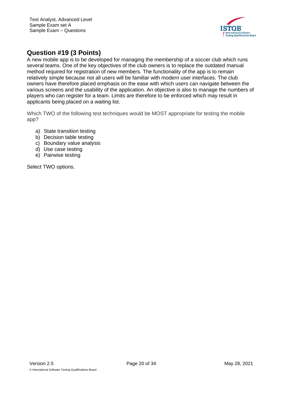

# <span id="page-19-0"></span>**Question #19 (3 Points)**

A new mobile app is to be developed for managing the membership of a soccer club which runs several teams. One of the key objectives of the club owners is to replace the outdated manual method required for registration of new members. The functionality of the app is to remain relatively simple because not all users will be familiar with modern user interfaces. The club owners have therefore placed emphasis on the ease with which users can navigate between the various screens and the usability of the application. An objective is also to manage the numbers of players who can register for a team. Limits are therefore to be enforced which may result in applicants being placed on a waiting list.

Which TWO of the following test techniques would be MOST appropriate for testing the mobile app?

- a) State transition testing
- b) Decision table testing
- c) Boundary value analysis
- d) Use case testing
- e) Pairwise testing

Select TWO options.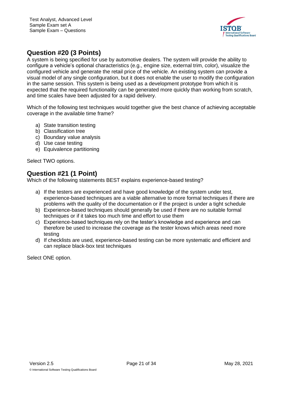

# <span id="page-20-0"></span>**Question #20 (3 Points)**

A system is being specified for use by automotive dealers. The system will provide the ability to configure a vehicle's optional characteristics (e.g., engine size, external trim, color), visualize the configured vehicle and generate the retail price of the vehicle. An existing system can provide a visual model of any single configuration, but it does not enable the user to modify the configuration in the same session. This system is being used as a development prototype from which it is expected that the required functionality can be generated more quickly than working from scratch, and time scales have been adjusted for a rapid delivery.

Which of the following test techniques would together give the best chance of achieving acceptable coverage in the available time frame?

- a) State transition testing
- b) Classification tree
- c) Boundary value analysis
- d) Use case testing
- e) Equivalence partitioning

Select TWO options.

### <span id="page-20-1"></span>**Question #21 (1 Point)**

Which of the following statements BEST explains experience-based testing?

- a) If the testers are experienced and have good knowledge of the system under test, experience-based techniques are a viable alternative to more formal techniques if there are problems with the quality of the documentation or if the project is under a tight schedule
- b) Experience-based techniques should generally be used if there are no suitable formal techniques or if it takes too much time and effort to use them
- c) Experience-based techniques rely on the tester's knowledge and experience and can therefore be used to increase the coverage as the tester knows which areas need more testing
- d) If checklists are used, experience-based testing can be more systematic and efficient and can replace black-box test techniques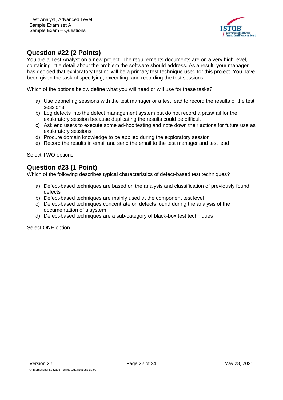

## <span id="page-21-0"></span>**Question #22 (2 Points)**

You are a Test Analyst on a new project. The requirements documents are on a very high level, containing little detail about the problem the software should address. As a result, your manager has decided that exploratory testing will be a primary test technique used for this project. You have been given the task of specifying, executing, and recording the test sessions.

Which of the options below define what you will need or will use for these tasks?

- a) Use debriefing sessions with the test manager or a test lead to record the results of the test sessions
- b) Log defects into the defect management system but do not record a pass/fail for the exploratory session because duplicating the results could be difficult
- c) Ask end users to execute some ad-hoc testing and note down their actions for future use as exploratory sessions
- d) Procure domain knowledge to be applied during the exploratory session
- e) Record the results in email and send the email to the test manager and test lead

Select TWO options.

### <span id="page-21-1"></span>**Question #23 (1 Point)**

Which of the following describes typical characteristics of defect-based test techniques?

- a) Defect-based techniques are based on the analysis and classification of previously found defects
- b) Defect-based techniques are mainly used at the component test level
- c) Defect-based techniques concentrate on defects found during the analysis of the documentation of a system
- d) Defect-based techniques are a sub-category of black-box test techniques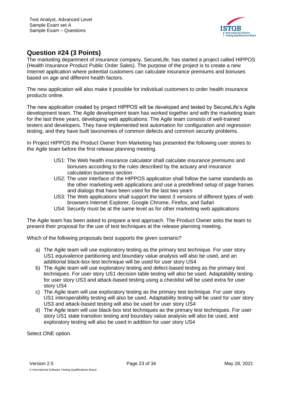

### <span id="page-22-0"></span>**Question #24 (3 Points)**

The marketing department of insurance company, SecureLife, has started a project called HIPPOS (Health Insurance Product Public Order Sales). The purpose of the project is to create a new Internet application where potential customers can calculate insurance premiums and bonuses based on age and different health factors.

The new application will also make it possible for individual customers to order health insurance products online.

The new application created by project HIPPOS will be developed and tested by SecureLife's Agile development team. The Agile development team has worked together and with the marketing team for the last three years, developing web applications. The Agile team consists of well-trained testers and developers. They have implemented test automation for configuration and regression testing, and they have built taxonomies of common defects and common security problems.

In Project HIPPOS the Product Owner from Marketing has presented the following user stories to the Agile team before the first release planning meeting.

- US1: The Web health insurance calculator shall calculate insurance premiums and bonuses according to the rules described by the actuary and insurance calculation business section
- US2: The user interface of the HIPPOS application shall follow the same standards as the other marketing web applications and use a predefined setup of page frames and dialogs that have been used for the last two years
- US3: The Web applications shall support the latest 3 versions of different types of web browsers Internet Explorer, Google Chrome, Firefox, and Safari
- US4: Security must be at the same level as for other marketing web applications

The Agile team has been asked to prepare a test approach. The Product Owner asks the team to present their proposal for the use of test techniques at the release planning meeting.

Which of the following proposals best supports the given scenario?

- a) The Agile team will use exploratory testing as the primary test technique. For user story US1 equivalence partitioning and boundary value analysis will also be used, and an additional black-box test technique will be used for user story US4
- b) The Agile team will use exploratory testing and defect-based testing as the primary test techniques. For user story US1 decision table testing will also be used. Adaptability testing for user story US3 and attack-based testing using a checklist will be used extra for user story US4
- c) The Agile team will use exploratory testing as the primary test technique. For user story US1 interoperability testing will also be used. Adaptability testing will be used for user story US3 and attack-based testing will also be used for user story US4
- d) The Agile team will use black-box test techniques as the primary test techniques. For user story US1 state transition testing and boundary value analysis will also be used, and exploratory testing will also be used in addition for user story US4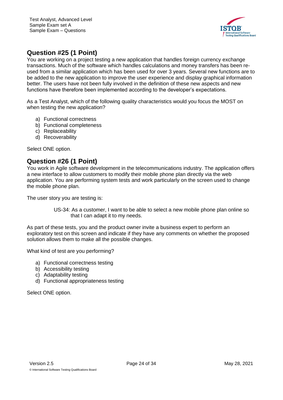

# <span id="page-23-0"></span>**Question #25 (1 Point)**

You are working on a project testing a new application that handles foreign currency exchange transactions. Much of the software which handles calculations and money transfers has been reused from a similar application which has been used for over 3 years. Several new functions are to be added to the new application to improve the user experience and display graphical information better. The users have not been fully involved in the definition of these new aspects and new functions have therefore been implemented according to the developer's expectations.

As a Test Analyst, which of the following quality characteristics would you focus the MOST on when testing the new application?

- a) Functional correctness
- b) Functional completeness
- c) Replaceability
- d) Recoverability

Select ONE option.

### <span id="page-23-1"></span>**Question #26 (1 Point)**

You work in Agile software development in the telecommunications industry. The application offers a new interface to allow customers to modify their mobile phone plan directly via the web application. You are performing system tests and work particularly on the screen used to change the mobile phone plan.

The user story you are testing is:

US-34: As a customer, I want to be able to select a new mobile phone plan online so that I can adapt it to my needs.

As part of these tests, you and the product owner invite a business expert to perform an exploratory test on this screen and indicate if they have any comments on whether the proposed solution allows them to make all the possible changes.

What kind of test are you performing?

- a) Functional correctness testing
- b) Accessibility testing
- c) Adaptability testing
- d) Functional appropriateness testing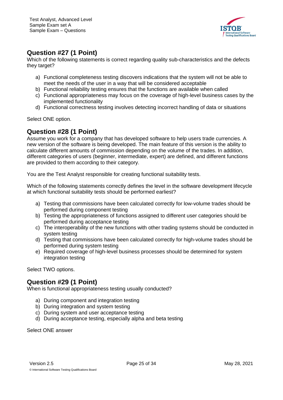

## <span id="page-24-0"></span>**Question #27 (1 Point)**

Which of the following statements is correct regarding quality sub-characteristics and the defects they target?

- a) Functional completeness testing discovers indications that the system will not be able to meet the needs of the user in a way that will be considered acceptable
- b) Functional reliability testing ensures that the functions are available when called
- c) Functional appropriateness may focus on the coverage of high-level business cases by the implemented functionality
- d) Functional correctness testing involves detecting incorrect handling of data or situations

Select ONE option.

### <span id="page-24-1"></span>**Question #28 (1 Point)**

Assume you work for a company that has developed software to help users trade currencies. A new version of the software is being developed. The main feature of this version is the ability to calculate different amounts of commission depending on the volume of the trades. In addition, different categories of users (beginner, intermediate, expert) are defined, and different functions are provided to them according to their category.

You are the Test Analyst responsible for creating functional suitability tests.

Which of the following statements correctly defines the level in the software development lifecycle at which functional suitability tests should be performed earliest?

- a) Testing that commissions have been calculated correctly for low-volume trades should be performed during component testing
- b) Testing the appropriateness of functions assigned to different user categories should be performed during acceptance testing
- c) The interoperability of the new functions with other trading systems should be conducted in system testing
- d) Testing that commissions have been calculated correctly for high-volume trades should be performed during system testing
- e) Required coverage of high-level business processes should be determined for system integration testing

Select TWO options.

### <span id="page-24-2"></span>**Question #29 (1 Point)**

When is functional appropriateness testing usually conducted?

- a) During component and integration testing
- b) During integration and system testing
- c) During system and user acceptance testing
- d) During acceptance testing, especially alpha and beta testing

Select ONE answer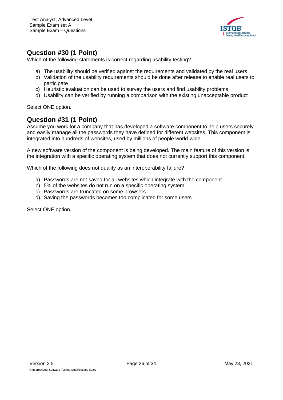

### <span id="page-25-0"></span>**Question #30 (1 Point)**

Which of the following statements is correct regarding usability testing?

- a) The usability should be verified against the requirements and validated by the real users
- b) Validation of the usability requirements should be done after release to enable real users to participate
- c) Heuristic evaluation can be used to survey the users and find usability problems
- d) Usability can be verified by running a comparison with the existing unacceptable product

Select ONE option.

### <span id="page-25-1"></span>**Question #31 (1 Point)**

Assume you work for a company that has developed a software component to help users securely and easily manage all the passwords they have defined for different websites. This component is integrated into hundreds of websites, used by millions of people world-wide.

A new software version of the component is being developed. The main feature of this version is the integration with a specific operating system that does not currently support this component.

Which of the following does not qualify as an interoperability failure?

- a) Passwords are not saved for all websites which integrate with the component
- b) 5% of the websites do not run on a specific operating system
- c) Passwords are truncated on some browsers
- d) Saving the passwords becomes too complicated for some users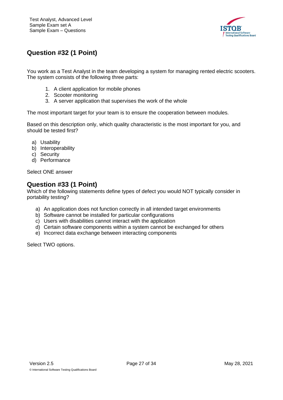

# <span id="page-26-0"></span>**Question #32 (1 Point)**

You work as a Test Analyst in the team developing a system for managing rented electric scooters. The system consists of the following three parts:

- 1. A client application for mobile phones
- 2. Scooter monitoring
- 3. A server application that supervises the work of the whole

The most important target for your team is to ensure the cooperation between modules.

Based on this description only, which quality characteristic is the most important for you, and should be tested first?

- a) Usability
- b) Interoperability
- c) Security
- d) Performance

Select ONE answer

### <span id="page-26-1"></span>**Question #33 (1 Point)**

Which of the following statements define types of defect you would NOT typically consider in portability testing?

- a) An application does not function correctly in all intended target environments
- b) Software cannot be installed for particular configurations
- c) Users with disabilities cannot interact with the application
- d) Certain software components within a system cannot be exchanged for others
- e) Incorrect data exchange between interacting components

Select TWO options.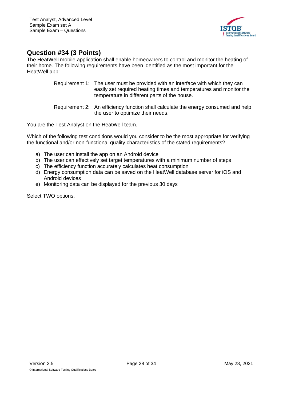

### <span id="page-27-0"></span>**Question #34 (3 Points)**

The HeatWell mobile application shall enable homeowners to control and monitor the heating of their home. The following requirements have been identified as the most important for the HeatWell app:

- Requirement 1: The user must be provided with an interface with which they can easily set required heating times and temperatures and monitor the temperature in different parts of the house.
- Requirement 2: An efficiency function shall calculate the energy consumed and help the user to optimize their needs.

You are the Test Analyst on the HeatWell team.

Which of the following test conditions would you consider to be the most appropriate for verifying the functional and/or non-functional quality characteristics of the stated requirements?

- a) The user can install the app on an Android device
- b) The user can effectively set target temperatures with a minimum number of steps
- c) The efficiency function accurately calculates heat consumption
- d) Energy consumption data can be saved on the HeatWell database server for iOS and Android devices
- e) Monitoring data can be displayed for the previous 30 days

Select TWO options.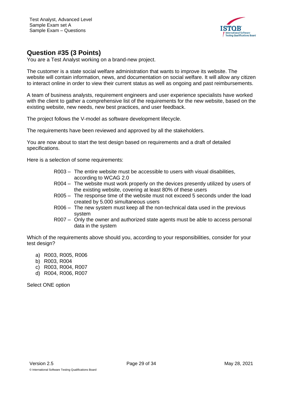

## <span id="page-28-0"></span>**Question #35 (3 Points)**

You are a Test Analyst working on a brand-new project.

The customer is a state social welfare administration that wants to improve its website. The website will contain information, news, and documentation on social welfare. It will allow any citizen to interact online in order to view their current status as well as ongoing and past reimbursements.

A team of business analysts, requirement engineers and user experience specialists have worked with the client to gather a comprehensive list of the requirements for the new website, based on the existing website, new needs, new best practices, and user feedback.

The project follows the V-model as software development lifecycle.

The requirements have been reviewed and approved by all the stakeholders.

You are now about to start the test design based on requirements and a draft of detailed specifications.

Here is a selection of some requirements:

- R003 The entire website must be accessible to users with visual disabilities, according to WCAG 2.0
- R004 The website must work properly on the devices presently utilized by users of the existing website, covering at least 80% of these users
- R005 The response time of the website must not exceed 5 seconds under the load created by 5.000 simultaneous users
- R006 The new system must keep all the non-technical data used in the previous system
- R007 Only the owner and authorized state agents must be able to access personal data in the system

Which of the requirements above should you, according to your responsibilities, consider for your test design?

- a) R003, R005, R006
- b) R003, R004
- c) R003, R004, R007
- d) R004, R006, R007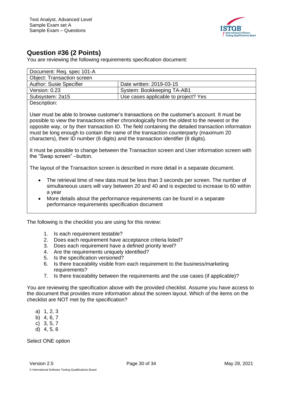

## <span id="page-29-0"></span>**Question #36 (2 Points)**

You are reviewing the following requirements specification document:

| Document: Req. spec 101-A                                                                                                                                                                                                                                                                                                                                                                                                                                                       |                                      |  |
|---------------------------------------------------------------------------------------------------------------------------------------------------------------------------------------------------------------------------------------------------------------------------------------------------------------------------------------------------------------------------------------------------------------------------------------------------------------------------------|--------------------------------------|--|
| <b>Object: Transaction screen</b>                                                                                                                                                                                                                                                                                                                                                                                                                                               |                                      |  |
| <b>Author: Susie Specifier</b>                                                                                                                                                                                                                                                                                                                                                                                                                                                  | Date written: 2019-03-15             |  |
| Version: 0.23                                                                                                                                                                                                                                                                                                                                                                                                                                                                   | <b>System: Bookkeeping TA-AB1</b>    |  |
| Subsystem: 2a15                                                                                                                                                                                                                                                                                                                                                                                                                                                                 | Use cases applicable to project? Yes |  |
| Description:                                                                                                                                                                                                                                                                                                                                                                                                                                                                    |                                      |  |
| User must be able to browse customer's transactions on the customer's account. It must be<br>possible to view the transactions either chronologically from the oldest to the newest or the<br>opposite way, or by their transaction ID. The field containing the detailed transaction information<br>must be long enough to contain the name of the transaction counterparty (maximum 20)<br>characters), their ID number (6 digits) and the transaction identifier (8 digits). |                                      |  |
| It must be possible to change between the Transaction screen and User information screen with<br>the "Swap screen" -button.                                                                                                                                                                                                                                                                                                                                                     |                                      |  |

The layout of the Transaction screen is described in more detail in a separate document.

- The retrieval time of new data must be less than 3 seconds per screen. The number of simultaneous users will vary between 20 and 40 and is expected to increase to 60 within a year
- More details about the performance requirements can be found in a separate performance requirements specification document

The following is the checklist you are using for this review:

- 1. Is each requirement testable?
- 2. Does each requirement have acceptance criteria listed?
- 3. Does each requirement have a defined priority level?
- 4. Are the requirements uniquely identified?
- 5. Is the specification versioned?
- 6. Is there traceability visible from each requirement to the business/marketing requirements?
- 7. Is there traceability between the requirements and the use cases (if applicable)?

You are reviewing the specification above with the provided checklist. Assume you have access to the document that provides more information about the screen layout. Which of the items on the checklist are NOT met by the specification?

- a) 1, 2, 3
- b) 4, 6, 7
- c) 3, 5, 7
- d) 4, 5, 6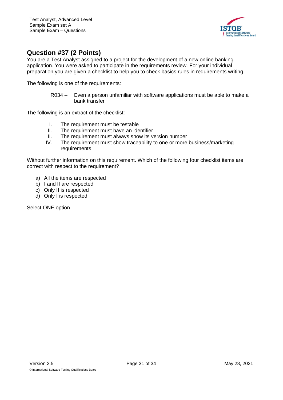

### <span id="page-30-0"></span>**Question #37 (2 Points)**

You are a Test Analyst assigned to a project for the development of a new online banking application. You were asked to participate in the requirements review. For your individual preparation you are given a checklist to help you to check basics rules in requirements writing.

The following is one of the requirements:

R034 – Even a person unfamiliar with software applications must be able to make a bank transfer

The following is an extract of the checklist:

- I. The requirement must be testable
- II. The requirement must have an identifier
- III. The requirement must always show its version number
- IV. The requirement must show traceability to one or more business/marketing requirements

Without further information on this requirement. Which of the following four checklist items are correct with respect to the requirement?

- a) All the items are respected
- b) I and II are respected
- c) Only II is respected
- d) Only I is respected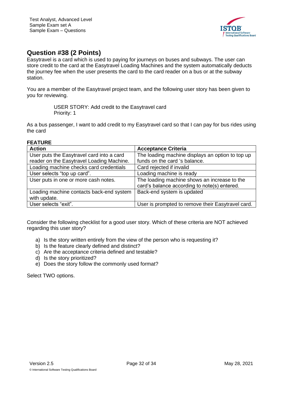

## <span id="page-31-0"></span>**Question #38 (2 Points)**

Easytravel is a card which is used to paying for journeys on buses and subways. The user can store credit to the card at the Easytravel Loading Machines and the system automatically deducts the journey fee when the user presents the card to the card reader on a bus or at the subway station.

You are a member of the Easytravel project team, and the following user story has been given to you for reviewing.

> USER STORY: Add credit to the Easytravel card Priority: 1

As a bus passenger, I want to add credit to my Easytravel card so that I can pay for bus rides using the card

#### **FEATURE**

| <b>Action</b>                             | <b>Acceptance Criteria</b>                                                                   |
|-------------------------------------------|----------------------------------------------------------------------------------------------|
| User puts the Easytravel card into a card | The loading machine displays an option to top up                                             |
| reader on the Easytravel Loading Machine. | funds on the card 's balance.                                                                |
| Loading machine checks card credentials   | Card rejected if invalid                                                                     |
| User selects "top up card".               | Loading machine is ready                                                                     |
| User puts in one or more cash notes.      | The loading machine shows an increase to the<br>card's balance according to note(s) entered. |
| Loading machine contacts back-end system  | Back-end system is updated                                                                   |
| with update.                              |                                                                                              |
| User selects "exit".                      | User is prompted to remove their Easytravel card.                                            |

Consider the following checklist for a good user story. Which of these criteria are NOT achieved regarding this user story?

- a) Is the story written entirely from the view of the person who is requesting it?
- b) Is the feature clearly defined and distinct?
- c) Are the acceptance criteria defined and testable?
- d) Is the story prioritized?
- e) Does the story follow the commonly used format?

Select TWO options.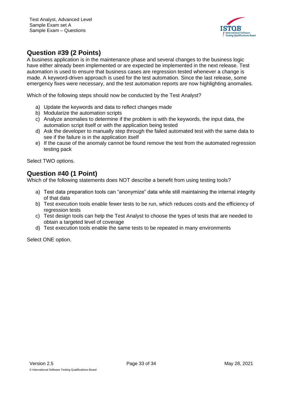

# <span id="page-32-0"></span>**Question #39 (2 Points)**

A business application is in the maintenance phase and several changes to the business logic have either already been implemented or are expected be implemented in the next release. Test automation is used to ensure that business cases are regression tested whenever a change is made. A keyword-driven approach is used for the test automation. Since the last release, some emergency fixes were necessary, and the test automation reports are now highlighting anomalies.

Which of the following steps should now be conducted by the Test Analyst?

- a) Update the keywords and data to reflect changes made
- b) Modularize the automation scripts
- c) Analyze anomalies to determine if the problem is with the keywords, the input data, the automation script itself or with the application being tested
- d) Ask the developer to manually step through the failed automated test with the same data to see if the failure is in the application itself
- e) If the cause of the anomaly cannot be found remove the test from the automated regression testing pack

Select TWO options.

### <span id="page-32-1"></span>**Question #40 (1 Point)**

Which of the following statements does NOT describe a benefit from using testing tools?

- a) Test data preparation tools can "anonymize" data while still maintaining the internal integrity of that data
- b) Test execution tools enable fewer tests to be run, which reduces costs and the efficiency of regression tests
- c) Test design tools can help the Test Analyst to choose the types of tests that are needed to obtain a targeted level of coverage
- d) Test execution tools enable the same tests to be repeated in many environments